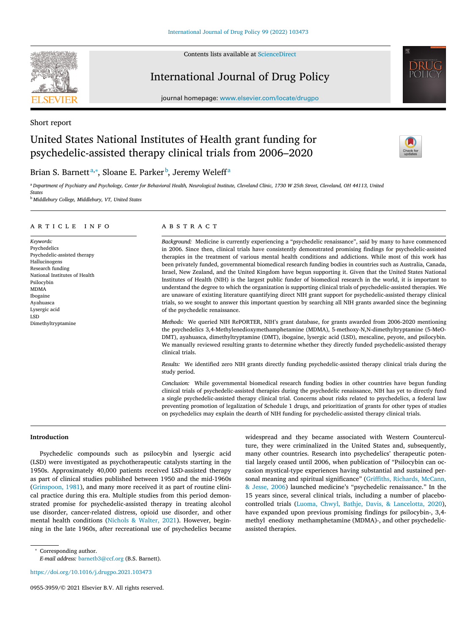Contents lists available at [ScienceDirect](http://www.ScienceDirect.com)

Short report



# International Journal of Drug Policy

journal homepage: [www.elsevier.com/locate/drugpo](http://www.elsevier.com/locate/drugpo)

# United States National Institutes of Health grant funding for psychedelic-assisted therapy clinical trials from 2006–2020



## Brian S. Barnettª,\*, Sloane E. Parker <sup>b</sup>, Jeremy Weleff<sup>a</sup>

a Department of Psychiatry and Psychology, Center for Behavioral Health, Neurological Institute, Cleveland Clinic, 1730 W 25th Street, Cleveland, OH 44113, United *States*

<sup>b</sup> *Middlebury College, Middlebury, VT, United States*

#### a r t i c l e i n f o

*Keywords:* Psychedelics Psychedelic-assisted therapy Hallucinogens Research funding National Institutes of Health Psilocybin MDMA Ibogaine Ayahuasca Lysergic acid LSD Dimethyltryptamine

#### a b s t r a c t

*Background:* Medicine is currently experiencing a "psychedelic renaissance", said by many to have commenced in 2006. Since then, clinical trials have consistently demonstrated promising findings for psychedelic-assisted therapies in the treatment of various mental health conditions and addictions. While most of this work has been privately funded, governmental biomedical research funding bodies in countries such as Australia, Canada, Israel, New Zealand, and the United Kingdom have begun supporting it. Given that the United States National Institutes of Health (NIH) is the largest public funder of biomedical research in the world, it is important to understand the degree to which the organization is supporting clinical trials of psychedelic-assisted therapies. We are unaware of existing literature quantifying direct NIH grant support for psychedelic-assisted therapy clinical trials, so we sought to answer this important question by searching all NIH grants awarded since the beginning of the psychedelic renaissance.

*Methods:* We queried NIH RePORTER, NIH's grant database, for grants awarded from 2006-2020 mentioning the psychedelics 3,4-Methylenedioxymethamphetamine (MDMA), 5-methoxy-N,N-dimethyltryptamine (5-MeO-DMT), ayahuasca, dimethyltryptamine (DMT), ibogaine, lysergic acid (LSD), mescaline, peyote, and psilocybin. We manually reviewed resulting grants to determine whether they directly funded psychedelic-assisted therapy clinical trials.

*Results:* We identified zero NIH grants directly funding psychedelic-assisted therapy clinical trials during the study period.

*Conclusion:* While governmental biomedical research funding bodies in other countries have begun funding clinical trials of psychedelic-assisted therapies during the psychedelic renaissance, NIH has yet to directly fund a single psychedelic-assisted therapy clinical trial. Concerns about risks related to psychedelics, a federal law preventing promotion of legalization of Schedule 1 drugs, and prioritization of grants for other types of studies on psychedelics may explain the dearth of NIH funding for psychedelic-assisted therapy clinical trials.

#### **Introduction**

Psychedelic compounds such as psilocybin and lysergic acid (LSD) were investigated as psychotherapeutic catalysts starting in the 1950s. Approximately 40,000 patients received LSD-assisted therapy as part of clinical studies published between 1950 and the mid-1960s [\(Grinspoon,](#page-3-0) 1981), and many more received it as part of routine clinical practice during this era. Multiple studies from this period demonstrated promise for psychedelic-assisted therapy in treating alcohol use disorder, cancer-related distress, opioid use disorder, and other mental health conditions [\(Nichols](#page-3-0) & Walter, 2021). However, beginning in the late 1960s, after recreational use of psychedelics became widespread and they became associated with Western Counterculture, they were criminalized in the United States and, subsequently, many other countries. Research into psychedelics' therapeutic potential largely ceased until 2006, when publication of "Psilocybin can occasion mystical-type experiences having substantial and sustained personal meaning and spiritual [significance" \(Griffiths,](#page-3-0) Richards, McCann, & Jesse, 2006) launched medicine's "psychedelic renaissance." In the 15 years since, several clinical trials, including a number of placebocontrolled trials (Luoma, Chwyl, Bathje, Davis, & [Lancelotta,](#page-3-0) 2020), have expanded upon previous promising findings for psilocybin-, 3,4 methyl enedioxy methamphetamine (MDMA)-, and other psychedelicassisted therapies.

<https://doi.org/10.1016/j.drugpo.2021.103473>

<sup>∗</sup> Corresponding author.

*E-mail address:* [barnetb3@ccf.org](mailto:barnetb3@ccf.org) (B.S. Barnett).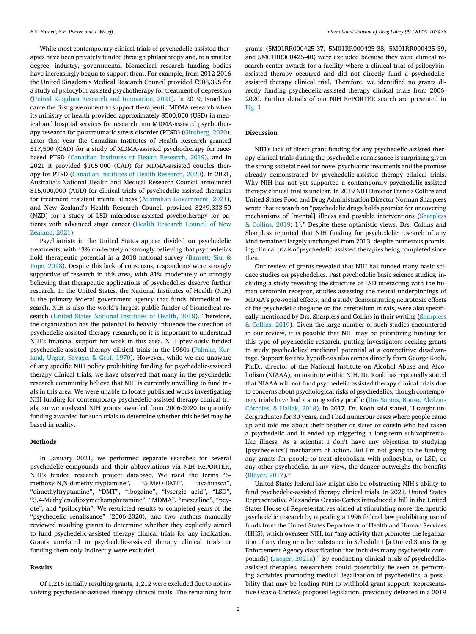While most contemporary clinical trials of psychedelic-assisted therapies have been privately funded through philanthropy and, to a smaller degree, industry, governmental biomedical research funding bodies have increasingly begun to support them. For example, from 2012-2016 the United Kingdom's Medical Research Council provided £508,395 for a study of psilocybin-assisted psychotherapy for treatment of depression (United Kingdom Research and [Innovation,](#page-3-0) 2021). In 2019, Israel became the first government to support therapeutic MDMA research when its ministry of health provided approximately \$500,000 (USD) in medical and hospital services for research into MDMA-assisted psychotherapy research for posttraumatic stress disorder (PTSD) [\(Ginsberg,](#page-3-0) 2020). Later that year the Canadian Institutes of Health Research granted \$17,500 (CAD) for a study of MDMA-assisted psychotherapy for racebased PTSD [\(Canadian](#page-3-0) Institutes of Health Research, 2019), and in 2021 it provided \$105,000 (CAD) for MDMA-assisted couples therapy for PTSD (Canadian Institutes of Health [Research,](#page-3-0) 2020). In 2021, Australia's National Health and Medical Research Council announced \$15,000,000 (AUD) for clinical trials of psychedelic-assisted therapies for treatment resistant mental illness (Australian [Government,](#page-3-0) 2021), and New Zealand's Health Research Council provided \$249,333.50 (NZD) for a study of LSD microdose-assisted psychotherapy for patients with [advanced](#page-3-0) stage cancer (Health Research Council of New Zealand, 2021).

Psychiatrists in the United States appear divided on psychedelic treatments, with 43% moderately or strongly believing that psychedelics hold therapeutic potential in a 2018 national survey (Barnett, Siu, & Pope, 2018). Despite this lack of consensus, [respondents](#page-3-0) were strongly supportive of research in this area, with 81% moderately or strongly believing that therapeutic applications of psychedelics deserve further research. In the United States, the National Institutes of Health (NIH) is the primary federal government agency that funds biomedical research. NIH is also the world's largest public funder of biomedical research (United States National [Institutes](#page-3-0) of Health, 2018). Therefore, the organization has the potential to heavily influence the direction of psychedelic-assisted therapy research, so it is important to understand NIH's financial support for work in this area. NIH previously funded [psychedelic-assisted](#page-3-0) therapy clinical trials in the 1960s (Pahnke, Kurland, Unger, Savage, & Grof, 1970). However, while we are unaware of any specific NIH policy prohibiting funding for psychedelic-assisted therapy clinical trials, we have observed that many in the psychedelic research community believe that NIH is currently unwilling to fund trials in this area. We were unable to locate published works investigating NIH funding for contemporary psychedelic-assisted therapy clinical trials, so we analyzed NIH grants awarded from 2006-2020 to quantify funding awarded for such trials to determine whether this belief may be based in reality.

#### **Methods**

In January 2021, we performed separate searches for several psychedelic compounds and their abbreviations via NIH RePORTER, NIH's funded research project database. We used the terms "5 methoxy-N,N-dimethyltryptamine", "5-MeO-DMT", "ayahuasca", "dimethyltryptamine", "DMT", "ibogaine", "lysergic acid", "LSD", "3,4-Methylenedioxymethamphetamine", "MDMA", "mescaline", "peyote", and "psilocybin". We restricted results to completed years of the "psychedelic renaissance" (2006-2020), and two authors manually reviewed resulting grants to determine whether they explicitly aimed to fund psychedelic-assisted therapy clinical trials for any indication. Grants unrelated to psychedelic-assisted therapy clinical trials or funding them only indirectly were excluded.

#### **Results**

Of 1,216 initially resulting grants, 1,212 were excluded due to not involving psychedelic-assisted therapy clinical trials. The remaining four grants (5M01RR000425-37, 5M01RR000425-38, 5M01RR000425-39, and 5M01RR000425-40) were excluded because they were clinical research center awards for a facility where a clinical trial of psilocybinassisted therapy occurred and did not directly fund a psychedelicassisted therapy clinical trial. Therefore, we identified no grants directly funding psychedelic-assisted therapy clinical trials from 2006- 2020. Further details of our NIH RePORTER search are presented in [Fig.](#page-2-0) 1.

#### **Discussion**

NIH's lack of direct grant funding for any psychedelic-assisted therapy clinical trials during the psychedelic renaissance is surprising given the strong societal need for novel psychiatric treatments and the promise already demonstrated by psychedelic-assisted therapy clinical trials. Why NIH has not yet supported a contemporary psychedelic-assisted therapy clinical trial is unclear. In 2019 NIH Director Francis Collins and United States Food and Drug Administration Director Norman Sharpless wrote that research on "psychedelic drugs holds promise for uncovering mechanisms of [mental] illness and possible [interventions](#page-3-0) (Sharpless & Collins, 2019: 1)." Despite these optimistic views, Drs. Collins and Sharpless reported that NIH funding for psychedelic research of any kind remained largely unchanged from 2013, despite numerous promising clinical trials of psychedelic-assisted therapies being completed since then.

Our review of grants revealed that NIH has funded many basic science studies on psychedelics. Past psychedelic basic science studies, including a study revealing the structure of LSD interacting with the human serotonin receptor, studies assessing the neural underpinnings of MDMA's pro-social effects, and a study demonstrating neurotoxic effects of the psychedelic ibogaine on the cerebellum in rats, were also specifically mentioned by Drs. Sharpless and Collins in their writing (Sharpless & Collins, 2019). Given the large number of such studies [encountered](#page-3-0) in our review, it is possible that NIH may be prioritizing funding for this type of psychedelic research, putting investigators seeking grants to study psychedelics' medicinal potential at a competitive disadvantage. Support for this hypothesis also comes directly from George Koob, Ph.D., director of the National Institute on Alcohol Abuse and Alcoholism (NIAAA), an institute within NIH. Dr. Koob has repeatedly stated that NIAAA will not fund psychedelic-assisted therapy clinical trials due to concerns about psychological risks of psychedelics, though contemporary trials have had a strong safety profile (Dos Santos, Bouso, Alcázar-[Córcoles,](#page-3-0) & Hallak, 2018). In 2017, Dr. Koob said stated, "I taught undergraduates for 30 years, and I had numerous cases where people came up and told me about their brother or sister or cousin who had taken a psychedelic and it ended up triggering a long-term schizophrenialike illness. As a scientist I don't have any objection to studying [psychedelics'] mechanism of action. But I'm not going to be funding any grants for people to treat alcoholism with psilocybin, or LSD, or any other psychedelic. In my view, the danger outweighs the benefits [\(Bleyer,](#page-3-0) 2017)."

United States federal law might also be obstructing NIH's ability to fund psychedelic-assisted therapy clinical trials. In 2021, United States Representative Alexandria Ocasio-Cortez introduced a bill in the United States House of Representatives aimed at stimulating more therapeutic psychedelic research by repealing a 1996 federal law prohibiting use of funds from the United States Department of Health and Human Services (HHS), which oversees NIH, for "any activity that promotes the legalization of any drug or other substance in Schedule I [a United States Drug Enforcement Agency classification that includes many psychedelic compounds] [\(Jaeger,](#page-3-0) 2021a)." By conducting clinical trials of psychedelicassisted therapies, researchers could potentially be seen as performing activities promoting medical legalization of psychedelics, a possibility that may be leading NIH to withhold grant support. Representative Ocasio-Cortez's proposed legislation, previously defeated in a 2019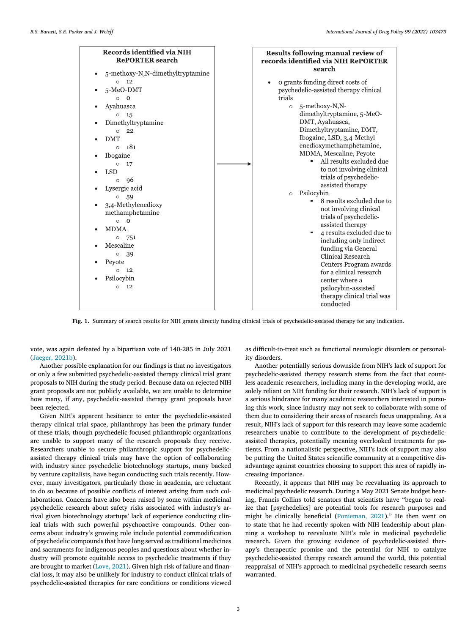<span id="page-2-0"></span>

**Fig. 1.** Summary of search results for NIH grants directly funding clinical trials of psychedelic-assisted therapy for any indication.

vote, was again defeated by a bipartisan vote of 140-285 in July 2021 [\(Jaeger,](#page-3-0) 2021b).

Another possible explanation for our findings is that no investigators or only a few submitted psychedelic-assisted therapy clinical trial grant proposals to NIH during the study period. Because data on rejected NIH grant proposals are not publicly available, we are unable to determine how many, if any, psychedelic-assisted therapy grant proposals have been rejected.

Given NIH's apparent hesitance to enter the psychedelic-assisted therapy clinical trial space, philanthropy has been the primary funder of these trials, though psychedelic-focused philanthropic organizations are unable to support many of the research proposals they receive. Researchers unable to secure philanthropic support for psychedelicassisted therapy clinical trials may have the option of collaborating with industry since psychedelic biotechnology startups, many backed by venture capitalists, have begun conducting such trials recently. However, many investigators, particularly those in academia, are reluctant to do so because of possible conflicts of interest arising from such collaborations. Concerns have also been raised by some within medicinal psychedelic research about safety risks associated with industry's arrival given biotechnology startups' lack of experience conducting clinical trials with such powerful psychoactive compounds. Other concerns about industry's growing role include potential commodification of psychedelic compounds that have long served as traditional medicines and sacraments for indigenous peoples and questions about whether industry will promote equitable access to psychedelic treatments if they are brought to market [\(Love,](#page-3-0) 2021). Given high risk of failure and financial loss, it may also be unlikely for industry to conduct clinical trials of psychedelic-assisted therapies for rare conditions or conditions viewed

as difficult-to-treat such as functional neurologic disorders or personality disorders.

Another potentially serious downside from NIH's lack of support for psychedelic-assisted therapy research stems from the fact that countless academic researchers, including many in the developing world, are solely reliant on NIH funding for their research. NIH's lack of support is a serious hindrance for many academic researchers interested in pursuing this work, since industry may not seek to collaborate with some of them due to considering their areas of research focus unappealing. As a result, NIH's lack of support for this research may leave some academic researchers unable to contribute to the development of psychedelicassisted therapies, potentially meaning overlooked treatments for patients. From a nationalistic perspective, NIH's lack of support may also be putting the United States scientific community at a competitive disadvantage against countries choosing to support this area of rapidly increasing importance.

Recently, it appears that NIH may be reevaluating its approach to medicinal psychedelic research. During a May 2021 Senate budget hearing, Francis Collins told senators that scientists have "begun to realize that [psychedelics] are potential tools for research purposes and might be clinically beneficial [\(Ponieman,](#page-3-0) 2021)." He then went on to state that he had recently spoken with NIH leadership about planning a workshop to reevaluate NIH's role in medicinal psychedelic research. Given the growing evidence of psychedelic-assisted therapy's therapeutic promise and the potential for NIH to catalyze psychedelic-assisted therapy research around the world, this potential reappraisal of NIH's approach to medicinal psychedelic research seems warranted.